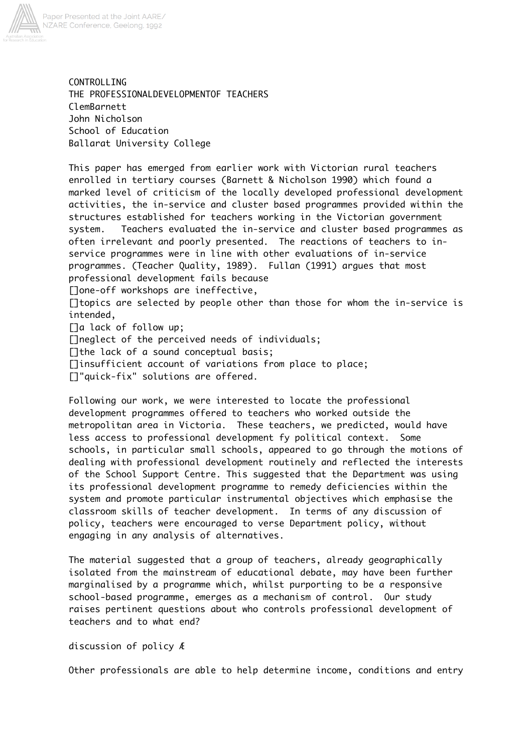

CONTROLLING THE PROFESSIONALDEVELOPMENTOF TEACHERS ClemBarnett John Nicholson School of Education Ballarat University College

This paper has emerged from earlier work with Victorian rural teachers enrolled in tertiary courses (Barnett & Nicholson 1990) which found a marked level of criticism of the locally developed professional development activities, the in-service and cluster based programmes provided within the structures established for teachers working in the Victorian government system. Teachers evaluated the in-service and cluster based programmes as often irrelevant and poorly presented. The reactions of teachers to inservice programmes were in line with other evaluations of in-service programmes. (Teacher Quality, 1989). Fullan (1991) argues that most professional development fails because

[]one-off workshops are ineffective,

[]topics are selected by people other than those for whom the in-service is intended,

[]a lack of follow up;

[Ineglect of the perceived needs of individuals;

[] the lack of a sound conceptual basis;

[]insufficient account of variations from place to place;

[]"quick-fix" solutions are offered.

Following our work, we were interested to locate the professional development programmes offered to teachers who worked outside the metropolitan area in Victoria. These teachers, we predicted, would have less access to professional development fy political context. Some schools, in particular small schools, appeared to go through the motions of dealing with professional development routinely and reflected the interests of the School Support Centre. This suggested that the Department was using its professional development programme to remedy deficiencies within the system and promote particular instrumental objectives which emphasise the classroom skills of teacher development. In terms of any discussion of policy, teachers were encouraged to verse Department policy, without engaging in any analysis of alternatives.

The material suggested that a group of teachers, already geographically isolated from the mainstream of educational debate, may have been further marginalised by a programme which, whilst purporting to be a responsive school-based programme, emerges as a mechanism of control. Our study raises pertinent questions about who controls professional development of teachers and to what end?

### discussion of policy Æ

Other professionals are able to help determine income, conditions and entry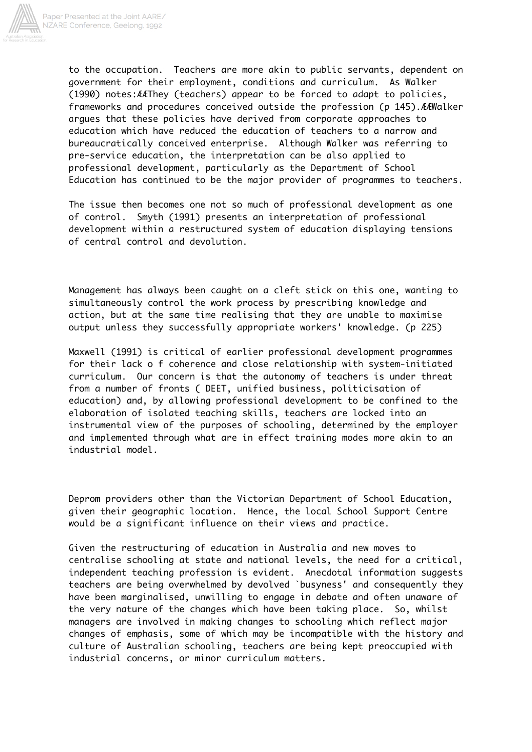

to the occupation. Teachers are more akin to public servants, dependent on government for their employment, conditions and curriculum. As Walker (1990) notes:ÆÆThey (teachers) appear to be forced to adapt to policies, frameworks and procedures conceived outside the profession (p 145).ÆÆWalker argues that these policies have derived from corporate approaches to education which have reduced the education of teachers to a narrow and bureaucratically conceived enterprise. Although Walker was referring to pre-service education, the interpretation can be also applied to professional development, particularly as the Department of School Education has continued to be the major provider of programmes to teachers.

The issue then becomes one not so much of professional development as one of control. Smyth (1991) presents an interpretation of professional development within a restructured system of education displaying tensions of central control and devolution.

Management has always been caught on a cleft stick on this one, wanting to simultaneously control the work process by prescribing knowledge and action, but at the same time realising that they are unable to maximise output unless they successfully appropriate workers' knowledge. (p 225)

Maxwell (1991) is critical of earlier professional development programmes for their lack o f coherence and close relationship with system-initiated curriculum. Our concern is that the autonomy of teachers is under threat from a number of fronts ( DEET, unified business, politicisation of education) and, by allowing professional development to be confined to the elaboration of isolated teaching skills, teachers are locked into an instrumental view of the purposes of schooling, determined by the employer and implemented through what are in effect training modes more akin to an industrial model.

Deprom providers other than the Victorian Department of School Education, given their geographic location. Hence, the local School Support Centre would be a significant influence on their views and practice.

Given the restructuring of education in Australia and new moves to centralise schooling at state and national levels, the need for a critical, independent teaching profession is evident. Anecdotal information suggests teachers are being overwhelmed by devolved `busyness' and consequently they have been marginalised, unwilling to engage in debate and often unaware of the very nature of the changes which have been taking place. So, whilst managers are involved in making changes to schooling which reflect major changes of emphasis, some of which may be incompatible with the history and culture of Australian schooling, teachers are being kept preoccupied with industrial concerns, or minor curriculum matters.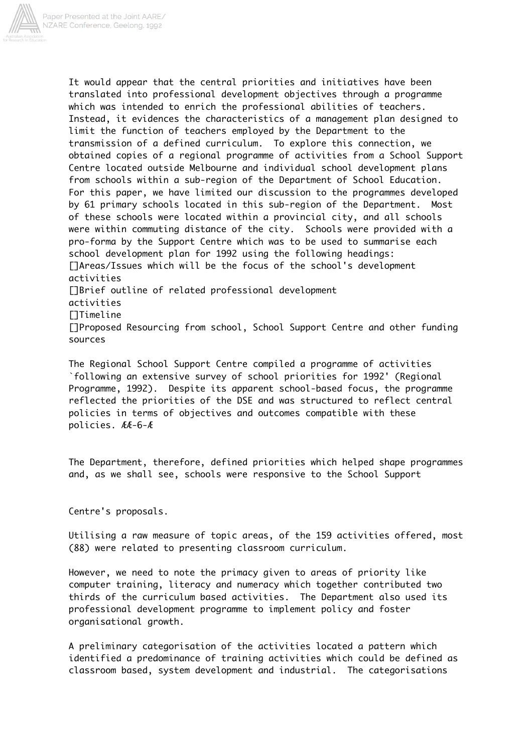

It would appear that the central priorities and initiatives have been translated into professional development objectives through a programme which was intended to enrich the professional abilities of teachers. Instead, it evidences the characteristics of a management plan designed to limit the function of teachers employed by the Department to the transmission of a defined curriculum. To explore this connection, we obtained copies of a regional programme of activities from a School Support Centre located outside Melbourne and individual school development plans from schools within a sub-region of the Department of School Education. For this paper, we have limited our discussion to the programmes developed by 61 primary schools located in this sub-region of the Department. Most of these schools were located within a provincial city, and all schools were within commuting distance of the city. Schools were provided with a pro-forma by the Support Centre which was to be used to summarise each school development plan for 1992 using the following headings: []Areas/Issues which will be the focus of the school's development activities []Brief outline of related professional development activities []Timeline []Proposed Resourcing from school, School Support Centre and other funding sources

The Regional School Support Centre compiled a programme of activities `following an extensive survey of school priorities for 1992' (Regional Programme, 1992). Despite its apparent school-based focus, the programme reflected the priorities of the DSE and was structured to reflect central policies in terms of objectives and outcomes compatible with these policies. ÆÆ-6-Æ

The Department, therefore, defined priorities which helped shape programmes and, as we shall see, schools were responsive to the School Support

Centre's proposals.

Utilising a raw measure of topic areas, of the 159 activities offered, most (88) were related to presenting classroom curriculum.

However, we need to note the primacy given to areas of priority like computer training, literacy and numeracy which together contributed two thirds of the curriculum based activities. The Department also used its professional development programme to implement policy and foster organisational growth.

A preliminary categorisation of the activities located a pattern which identified a predominance of training activities which could be defined as classroom based, system development and industrial. The categorisations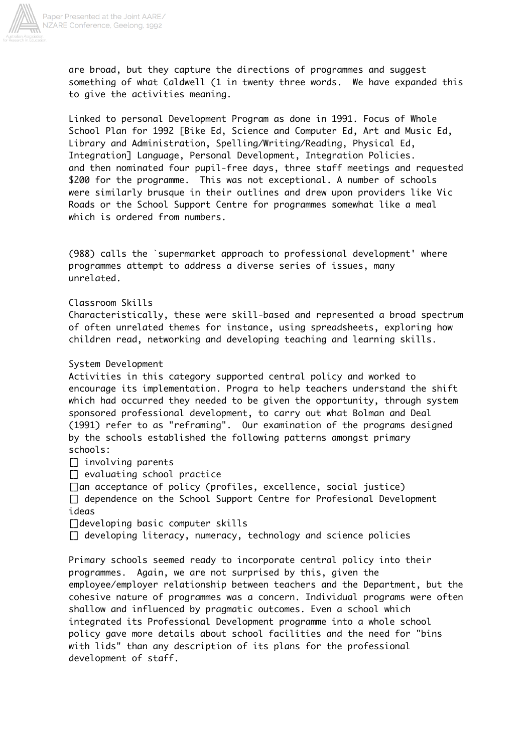

are broad, but they capture the directions of programmes and suggest something of what Caldwell (1 in twenty three words. We have expanded this to give the activities meaning.

Linked to personal Development Program as done in 1991. Focus of Whole School Plan for 1992 [Bike Ed, Science and Computer Ed, Art and Music Ed, Library and Administration, Spelling/Writing/Reading, Physical Ed, Integration] Language, Personal Development, Integration Policies. and then nominated four pupil-free days, three staff meetings and requested \$200 for the programme. This was not exceptional. A number of schools were similarly brusque in their outlines and drew upon providers like Vic Roads or the School Support Centre for programmes somewhat like a meal which is ordered from numbers.

(988) calls the `supermarket approach to professional development' where programmes attempt to address a diverse series of issues, many unrelated.

Classroom Skills

Characteristically, these were skill-based and represented a broad spectrum of often unrelated themes for instance, using spreadsheets, exploring how children read, networking and developing teaching and learning skills.

## System Development

Activities in this category supported central policy and worked to encourage its implementation. Progra to help teachers understand the shift which had occurred they needed to be given the opportunity, through system sponsored professional development, to carry out what Bolman and Deal (1991) refer to as "reframing". Our examination of the programs designed by the schools established the following patterns amongst primary schools:

[] involving parents

[] evaluating school practice

[]an acceptance of policy (profiles, excellence, social justice) [] dependence on the School Support Centre for Profesional Development ideas

[]developing basic computer skills

[] developing literacy, numeracy, technology and science policies

Primary schools seemed ready to incorporate central policy into their programmes. Again, we are not surprised by this, given the employee/employer relationship between teachers and the Department, but the cohesive nature of programmes was a concern. Individual programs were often shallow and influenced by pragmatic outcomes. Even a school which integrated its Professional Development programme into a whole school policy gave more details about school facilities and the need for "bins with lids" than any description of its plans for the professional development of staff.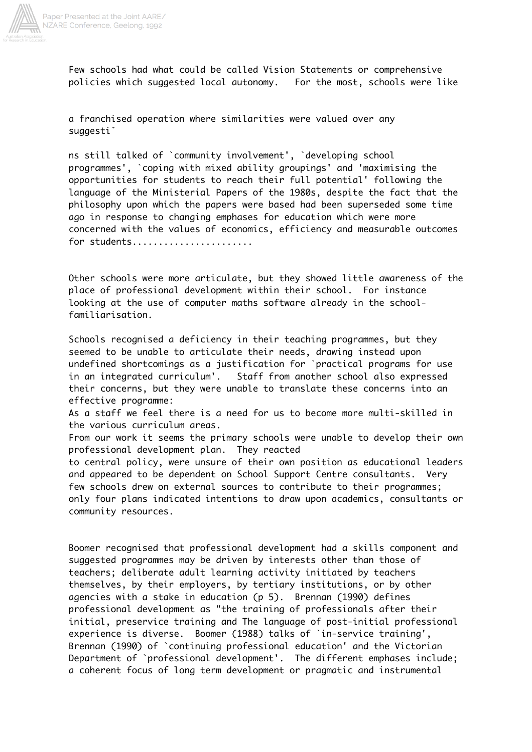

Few schools had what could be called Vision Statements or comprehensive policies which suggested local autonomy. For the most, schools were like

a franchised operation where similarities were valued over any suggestiˇ

ns still talked of `community involvement', `developing school programmes', `coping with mixed ability groupings' and 'maximising the opportunities for students to reach their full potential' following the language of the Ministerial Papers of the 1980s, despite the fact that the philosophy upon which the papers were based had been superseded some time ago in response to changing emphases for education which were more concerned with the values of economics, efficiency and measurable outcomes for students......................

Other schools were more articulate, but they showed little awareness of the place of professional development within their school. For instance looking at the use of computer maths software already in the schoolfamiliarisation.

Schools recognised a deficiency in their teaching programmes, but they seemed to be unable to articulate their needs, drawing instead upon undefined shortcomings as a justification for `practical programs for use in an integrated curriculum'. Staff from another school also expressed their concerns, but they were unable to translate these concerns into an effective programme:

As a staff we feel there is a need for us to become more multi-skilled in the various curriculum areas.

From our work it seems the primary schools were unable to develop their own professional development plan. They reacted

to central policy, were unsure of their own position as educational leaders and appeared to be dependent on School Support Centre consultants. Very few schools drew on external sources to contribute to their programmes; only four plans indicated intentions to draw upon academics, consultants or community resources.

Boomer recognised that professional development had a skills component and suggested programmes may be driven by interests other than those of teachers; deliberate adult learning activity initiated by teachers themselves, by their employers, by tertiary institutions, or by other agencies with a stake in education (p 5). Brennan (1990) defines professional development as "the training of professionals after their initial, preservice training and The language of post-initial professional experience is diverse. Boomer (1988) talks of `in-service training', Brennan (1990) of `continuing professional education' and the Victorian Department of `professional development'. The different emphases include; a coherent focus of long term development or pragmatic and instrumental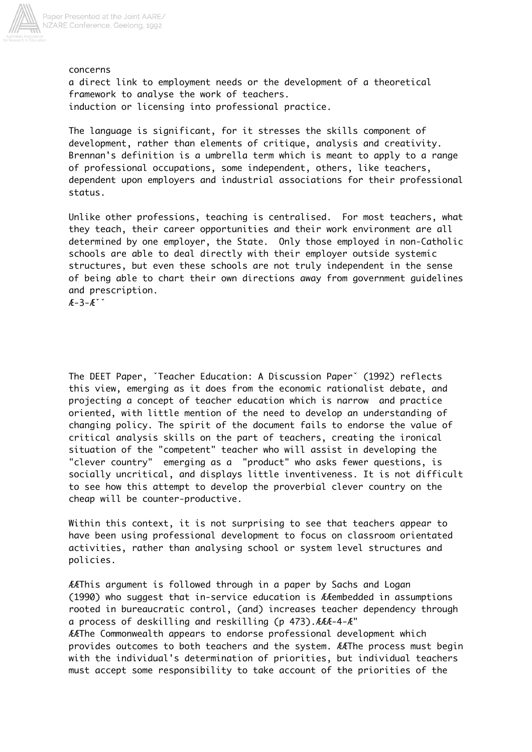

concerns a direct link to employment needs or the development of a theoretical framework to analyse the work of teachers. induction or licensing into professional practice.

The language is significant, for it stresses the skills component of development, rather than elements of critique, analysis and creativity. Brennan's definition is a umbrella term which is meant to apply to a range of professional occupations, some independent, others, like teachers, dependent upon employers and industrial associations for their professional status.

Unlike other professions, teaching is centralised. For most teachers, what they teach, their career opportunities and their work environment are all determined by one employer, the State. Only those employed in non-Catholic schools are able to deal directly with their employer outside systemic structures, but even these schools are not truly independent in the sense of being able to chart their own directions away from government guidelines and prescription.

 $A - 3 - A^{\prime}$ 

The DEET Paper, ˇTeacher Education: A Discussion Paperˇ (1992) reflects this view, emerging as it does from the economic rationalist debate, and projecting a concept of teacher education which is narrow and practice oriented, with little mention of the need to develop an understanding of changing policy. The spirit of the document fails to endorse the value of critical analysis skills on the part of teachers, creating the ironical situation of the "competent" teacher who will assist in developing the "clever country" emerging as a "product" who asks fewer questions, is socially uncritical, and displays little inventiveness. It is not difficult to see how this attempt to develop the proverbial clever country on the cheap will be counter-productive.

Within this context, it is not surprising to see that teachers appear to have been using professional development to focus on classroom orientated activities, rather than analysing school or system level structures and policies.

ÆÆThis argument is followed through in a paper by Sachs and Logan (1990) who suggest that in-service education is ÆÆembedded in assumptions rooted in bureaucratic control, (and) increases teacher dependency through a process of deskilling and reskilling (p 473).ÆÆÆ-4-Æ" ÆÆThe Commonwealth appears to endorse professional development which provides outcomes to both teachers and the system. ÆÆThe process must begin with the individual's determination of priorities, but individual teachers must accept some responsibility to take account of the priorities of the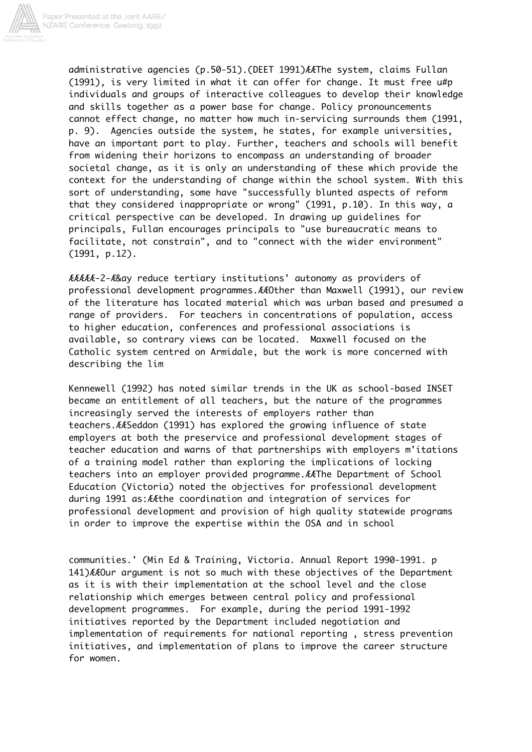

administrative agencies (p.50-51).(DEET 1991)ÆÆThe system, claims Fullan (1991), is very limited in what it can offer for change. It must free u#p individuals and groups of interactive colleagues to develop their knowledge and skills together as a power base for change. Policy pronouncements cannot effect change, no matter how much in-servicing surrounds them (1991, p. 9). Agencies outside the system, he states, for example universities, have an important part to play. Further, teachers and schools will benefit from widening their horizons to encompass an understanding of broader societal change, as it is only an understanding of these which provide the context for the understanding of change within the school system. With this sort of understanding, some have "successfully blunted aspects of reform that they considered inappropriate or wrong" (1991, p.10). In this way, a critical perspective can be developed. In drawing up guidelines for principals, Fullan encourages principals to "use bureaucratic means to facilitate, not constrain", and to "connect with the wider environment" (1991, p.12).

ÆÆÆÆÆ-2-Æ&ay reduce tertiary institutions' autonomy as providers of professional development programmes.ÆÆOther than Maxwell (1991), our review of the literature has located material which was urban based and presumed a range of providers. For teachers in concentrations of population, access to higher education, conferences and professional associations is available, so contrary views can be located. Maxwell focused on the Catholic system centred on Armidale, but the work is more concerned with describing the lim

Kennewell (1992) has noted similar trends in the UK as school-based INSET became an entitlement of all teachers, but the nature of the programmes increasingly served the interests of employers rather than teachers.ÆÆSeddon (1991) has explored the growing influence of state employers at both the preservice and professional development stages of teacher education and warns of that partnerships with employers m'itations of a training model rather than exploring the implications of locking teachers into an employer provided programme.ÆÆThe Department of School Education (Victoria) noted the objectives for professional development during 1991 as:ÆÆthe coordination and integration of services for professional development and provision of high quality statewide programs in order to improve the expertise within the OSA and in school

communities.' (Min Ed & Training, Victoria. Annual Report 1990-1991. p 141)ÆÆOur argument is not so much with these objectives of the Department as it is with their implementation at the school level and the close relationship which emerges between central policy and professional development programmes. For example, during the period 1991-1992 initiatives reported by the Department included negotiation and implementation of requirements for national reporting , stress prevention initiatives, and implementation of plans to improve the career structure for women.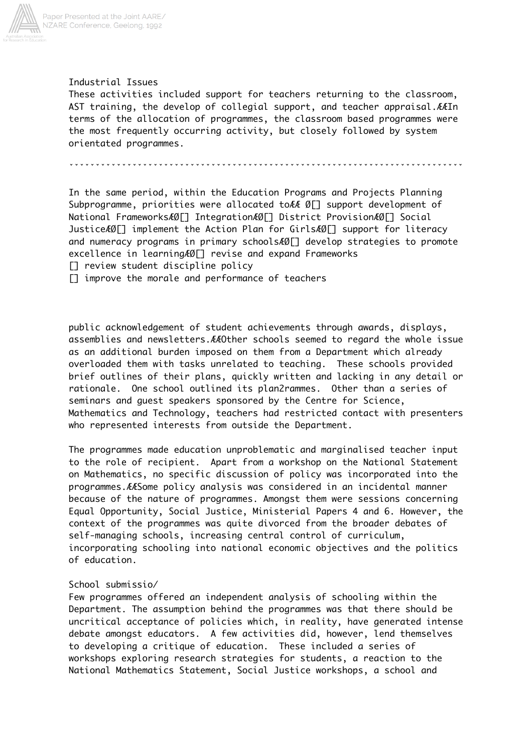

# Paper Presented at the Joint AARE/<br>NZARE Conference, Geelong, 1992

# Industrial Issues

These activities included support for teachers returning to the classroom, AST training, the develop of collegial support, and teacher appraisal.ÆÆIn terms of the allocation of programmes, the classroom based programmes were the most frequently occurring activity, but closely followed by system orientated programmes.

ˇˇˇˇˇˇˇˇˇˇˇˇˇˇˇˇˇˇˇˇˇˇˇˇˇˇˇˇˇˇˇˇˇˇˇˇˇˇˇˇˇˇˇˇˇˇˇˇˇˇˇˇˇˇˇˇˇˇˇˇˇˇˇˇˇˇˇˇˇˇˇˇˇˇˇ

In the same period, within the Education Programs and Projects Planning Subprogramme, priorities were allocated to E Ø[] support development of National FrameworksÆØ[] IntegrationÆØ[] District ProvisionÆØ[] Social JusticeÆØ[] implement the Action Plan for GirlsÆØ[] support for literacy and numeracy programs in primary schoolsÆØ[] develop strategies to promote excellence in learning AØ[] revise and expand Frameworks

[] review student discipline policy

[] improve the morale and performance of teachers

public acknowledgement of student achievements through awards, displays, assemblies and newsletters.ÆÆOther schools seemed to regard the whole issue as an additional burden imposed on them from a Department which already overloaded them with tasks unrelated to teaching. These schools provided brief outlines of their plans, quickly written and lacking in any detail or rationale. One school outlined its plan2rammes. Other than a series of seminars and guest speakers sponsored by the Centre for Science, Mathematics and Technology, teachers had restricted contact with presenters who represented interests from outside the Department.

The programmes made education unproblematic and marginalised teacher input to the role of recipient. Apart from a workshop on the National Statement on Mathematics, no specific discussion of policy was incorporated into the programmes.ÆÆSome policy analysis was considered in an incidental manner because of the nature of programmes. Amongst them were sessions concerning Equal Opportunity, Social Justice, Ministerial Papers 4 and 6. However, the context of the programmes was quite divorced from the broader debates of self-managing schools, increasing central control of curriculum, incorporating schooling into national economic objectives and the politics of education.

## School submissio/

Few programmes offered an independent analysis of schooling within the Department. The assumption behind the programmes was that there should be uncritical acceptance of policies which, in reality, have generated intense debate amongst educators. A few activities did, however, lend themselves to developing a critique of education. These included a series of workshops exploring research strategies for students, a reaction to the National Mathematics Statement, Social Justice workshops, a school and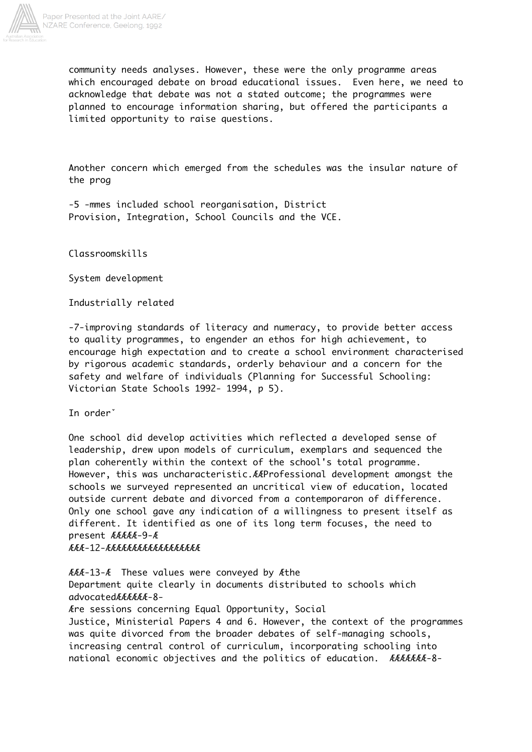

community needs analyses. However, these were the only programme areas which encouraged debate on broad educational issues. Even here, we need to acknowledge that debate was not a stated outcome; the programmes were planned to encourage information sharing, but offered the participants a limited opportunity to raise questions.

Another concern which emerged from the schedules was the insular nature of the prog

-5 -mmes included school reorganisation, District Provision, Integration, School Councils and the VCE.

Classroomskills

System development

Industrially related

-7-improving standards of literacy and numeracy, to provide better access to quality programmes, to engender an ethos for high achievement, to encourage high expectation and to create a school environment characterised by rigorous academic standards, orderly behaviour and a concern for the safety and welfare of individuals (Planning for Successful Schooling: Victorian State Schools 1992- 1994, p 5).

In orderˇ

One school did develop activities which reflected a developed sense of leadership, drew upon models of curriculum, exemplars and sequenced the plan coherently within the context of the school's total programme. However, this was uncharacteristic.ÆÆProfessional development amongst the schools we surveyed represented an uncritical view of education, located outside current debate and divorced from a contemporaron of difference. Only one school gave any indication of a willingness to present itself as different. It identified as one of its long term focuses, the need to present ÆÆÆÆÆ-9-Æ ÆÆÆ-12-ÆÆÆÆÆÆÆÆÆÆÆÆÆÆÆÆÆÆ

ÆÆÆ-13-Æ These values were conveyed by Æthe Department quite clearly in documents distributed to schools which advocatedÆÆÆÆÆÆ-8-

Ære sessions concerning Equal Opportunity, Social Justice, Ministerial Papers 4 and 6. However, the context of the programmes was quite divorced from the broader debates of self-managing schools, increasing central control of curriculum, incorporating schooling into national economic objectives and the politics of education. ÆÆÆÆÆÆÆ-8-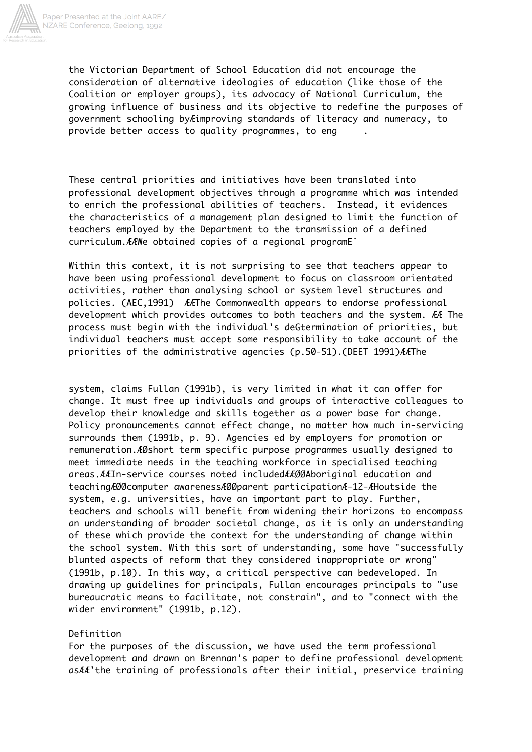

the Victorian Department of School Education did not encourage the consideration of alternative ideologies of education (like those of the Coalition or employer groups), its advocacy of National Curriculum, the growing influence of business and its objective to redefine the purposes of government schooling byÆimproving standards of literacy and numeracy, to provide better access to quality programmes, to eng

These central priorities and initiatives have been translated into professional development objectives through a programme which was intended to enrich the professional abilities of teachers. Instead, it evidences the characteristics of a management plan designed to limit the function of teachers employed by the Department to the transmission of a defined curriculum.ÆÆWe obtained copies of a regional programEˇ

Within this context, it is not surprising to see that teachers appear to have been using professional development to focus on classroom orientated activities, rather than analysing school or system level structures and policies. (AEC,1991) ÆÆThe Commonwealth appears to endorse professional development which provides outcomes to both teachers and the system. ÆÆ The process must begin with the individual's deGtermination of priorities, but individual teachers must accept some responsibility to take account of the priorities of the administrative agencies (p.50-51).(DEET 1991)ÆÆThe

system, claims Fullan (1991b), is very limited in what it can offer for change. It must free up individuals and groups of interactive colleagues to develop their knowledge and skills together as a power base for change. Policy pronouncements cannot effect change, no matter how much in-servicing surrounds them (1991b, p. 9). Agencies ed by employers for promotion or remuneration.ÆØshort term specific purpose programmes usually designed to meet immediate needs in the teaching workforce in specialised teaching areas.ÆÆIn-service courses noted includedÆÆØØAboriginal education and teachingÆØØcomputer awarenessÆØØparent participationÆ-12-ÆHoutside the system, e.g. universities, have an important part to play. Further, teachers and schools will benefit from widening their horizons to encompass an understanding of broader societal change, as it is only an understanding of these which provide the context for the understanding of change within the school system. With this sort of understanding, some have "successfully blunted aspects of reform that they considered inappropriate or wrong" (1991b, p.10). In this way, a critical perspective can bedeveloped. In drawing up guidelines for principals, Fullan encourages principals to "use bureaucratic means to facilitate, not constrain", and to "connect with the wider environment" (1991b, p.12).

#### Definition

For the purposes of the discussion, we have used the term professional development and drawn on Brennan's paper to define professional development asÆÆ'the training of professionals after their initial, preservice training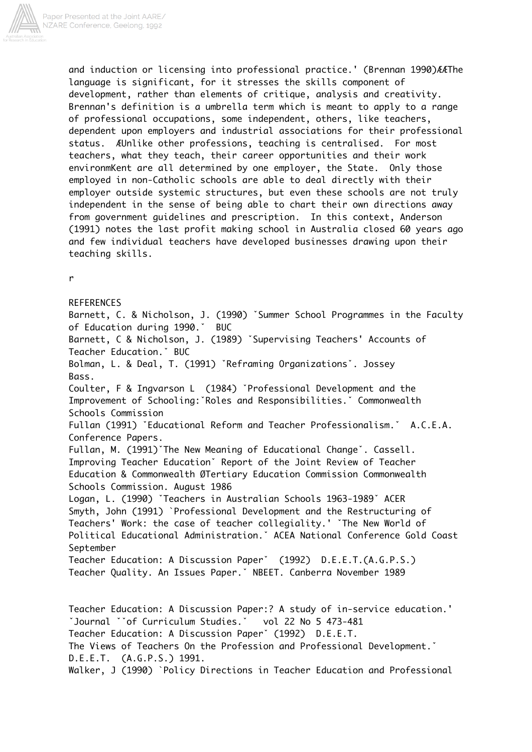

and induction or licensing into professional practice.' (Brennan 1990)ÆÆThe language is significant, for it stresses the skills component of development, rather than elements of critique, analysis and creativity. Brennan's definition is a umbrella term which is meant to apply to a range of professional occupations, some independent, others, like teachers, dependent upon employers and industrial associations for their professional status. ÆUnlike other professions, teaching is centralised. For most teachers, what they teach, their career opportunities and their work environmKent are all determined by one employer, the State. Only those employed in non-Catholic schools are able to deal directly with their employer outside systemic structures, but even these schools are not truly independent in the sense of being able to chart their own directions away from government guidelines and prescription. In this context, Anderson (1991) notes the last profit making school in Australia closed 60 years ago and few individual teachers have developed businesses drawing upon their teaching skills.

r

**REFERENCES** Barnett, C. & Nicholson, J. (1990) ˇSummer School Programmes in the Faculty of Education during 1990.ˇ BUC Barnett, C & Nicholson, J. (1989) ˇSupervising Teachers' Accounts of Teacher Education.ˇ BUC Bolman, L. & Deal, T. (1991) ˇReframing Organizationsˇ. Jossey Bass. Coulter, F & Ingvarson L (1984) ˇProfessional Development and the Improvement of Schooling:ˇRoles and Responsibilities.ˇ Commonwealth Schools Commission Fullan (1991) ˇEducational Reform and Teacher Professionalism.ˇ A.C.E.A. Conference Papers. Fullan, M. (1991)ˇThe New Meaning of Educational Changeˇ. Cassell. Improving Teacher Educationˇ Report of the Joint Review of Teacher Education & Commonwealth ØTertiary Education Commission Commonwealth Schools Commission. August 1986 Logan, L. (1990) ˇTeachers in Australian Schools 1963-1989ˇ ACER Smyth, John (1991) `Professional Development and the Restructuring of Teachers' Work: the case of teacher collegiality.' ˇThe New World of Political Educational Administration.ˇ ACEA National Conference Gold Coast September Teacher Education: A Discussion Paperˇ (1992) D.E.E.T.(A.G.P.S.) Teacher Quality. An Issues Paper.ˇ NBEET. Canberra November 1989 Teacher Education: A Discussion Paper:? A study of in-service education.' ˇJournal ˇˇof Curriculum Studies.ˇ vol 22 No 5 473-481 Teacher Education: A Discussion Paperˇ (1992) D.E.E.T. The Views of Teachers On the Profession and Professional Development.ˇ

```
D.E.E.T. (A.G.P.S.) 1991.
```
Walker, J (1990) `Policy Directions in Teacher Education and Professional